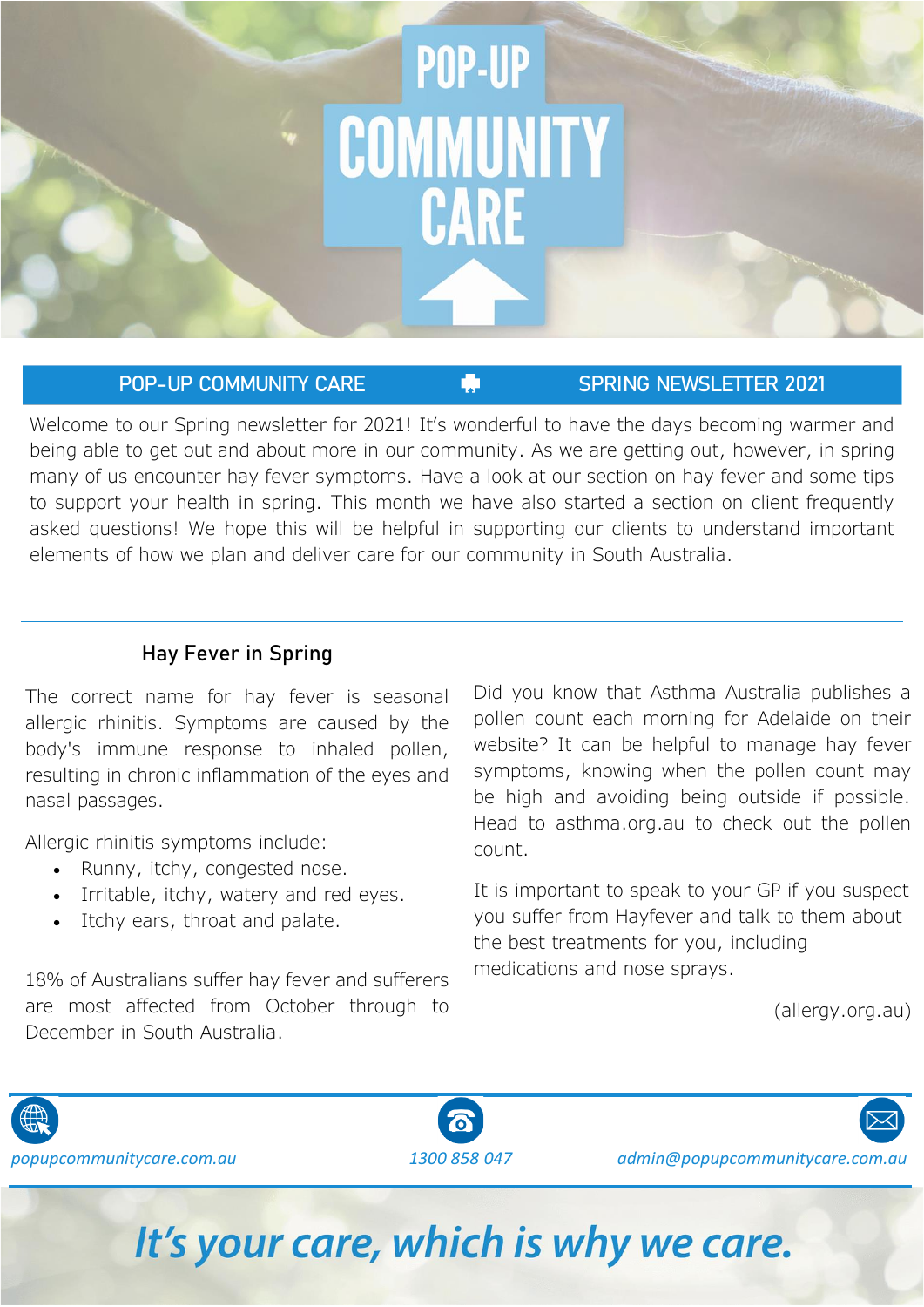# **POP-UP COMMUNITY CARE**

# POP-UP COMMUNITY CARE SPRING NEWSLETTER 2021

Welcome to our Spring newsletter for 2021! It's wonderful to have the days becoming warmer and being able to get out and about more in our community. As we are getting out, however, in spring many of us encounter hay fever symptoms. Have a look at our section on hay fever and some tips to support your health in spring. This month we have also started a section on client frequently asked questions! We hope this will be helpful in supporting our clients to understand important elements of how we plan and deliver care for our community in South Australia.

# Hay Fever in Spring

The correct name for hay fever is seasonal allergic rhinitis. Symptoms are caused by the body's immune response to inhaled pollen, resulting in chronic inflammation of the eyes and nasal passages.

Allergic rhinitis symptoms include:

- Runny, itchy, congested nose.
- Irritable, itchy, watery and red eyes.
- Itchy ears, throat and palate.

18% of Australians suffer hay fever and sufferers are most affected from October through to December in South Australia.

Did you know that Asthma Australia publishes a pollen count each morning for Adelaide on their website? It can be helpful to manage hay fever symptoms, knowing when the pollen count may be high and avoiding being outside if possible. Head to asthma.org.au to check out the pollen count.

It is important to speak to your GP if you suspect you suffer from Hayfever and talk to them about the best treatments for you, including medications and nose sprays.

(allergy.org.au)



*popupcommunitycare.com.au 1300 858 047 admin@popupcommunitycare.com.au*

It's your care, which is why we care.